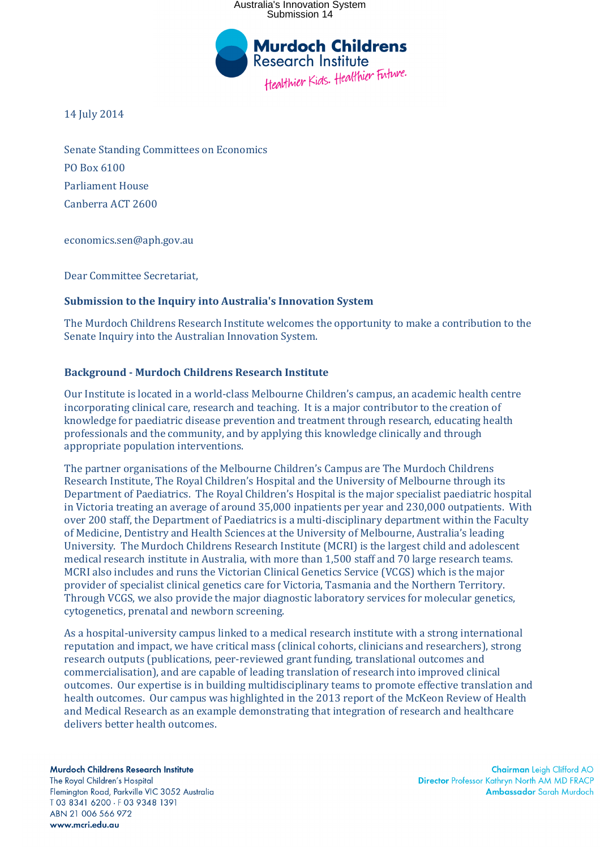

14 July 2014

Senate Standing Committees on Economics PO Box 6100 Parliament House Canberra ACT 2600

economics.sen@aph.gov.au

Dear Committee Secretariat,

#### **Submission to the Inquiry into Australia's Innovation System**

The Murdoch Childrens Research Institute welcomes the opportunity to make a contribution to the Senate Inquiry into the Australian Innovation System.

### **Background - Murdoch Childrens Research Institute**

Our Institute is located in a world-class Melbourne Children's campus, an academic health centre incorporating clinical care, research and teaching. It is a major contributor to the creation of knowledge for paediatric disease prevention and treatment through research, educating health professionals and the community, and by applying this knowledge clinically and through appropriate population interventions.

The partner organisations of the Melbourne Children's Campus are The Murdoch Childrens Research Institute, The Royal Children's Hospital and the University of Melbourne through its Department of Paediatrics. The Royal Children's Hospital is the major specialist paediatric hospital in Victoria treating an average of around 35,000 inpatients per year and 230,000 outpatients. With over 200 staff, the Department of Paediatrics is a multi-disciplinary department within the Faculty of Medicine, Dentistry and Health Sciences at the University of Melbourne, Australia's leading University. The Murdoch Childrens Research Institute (MCRI) is the largest child and adolescent medical research institute in Australia, with more than 1,500 staff and 70 large research teams. MCRI also includes and runs the Victorian Clinical Genetics Service (VCGS) which is the major provider of specialist clinical genetics care for Victoria, Tasmania and the Northern Territory. Through VCGS, we also provide the major diagnostic laboratory services for molecular genetics, cytogenetics, prenatal and newborn screening.

As a hospital-university campus linked to a medical research institute with a strong international reputation and impact, we have critical mass (clinical cohorts, clinicians and researchers), strong research outputs (publications, peer-reviewed grant funding, translational outcomes and commercialisation), and are capable of leading translation of research into improved clinical outcomes. Our expertise is in building multidisciplinary teams to promote effective translation and health outcomes. Our campus was highlighted in the 2013 report of the McKeon Review of Health and Medical Research as an example demonstrating that integration of research and healthcare delivers better health outcomes.

Murdoch Childrens Research Institute The Roval Children's Hospital Flemington Road, Parkville VIC 3052 Australia T03 8341 6200 · F03 9348 1391 ABN 21 006 566 972 www.mcri.edu.au

**Chairman** Leigh Clifford AO **Director Professor Kathryn North AM MD FRACP** Ambassador Sarah Murdoch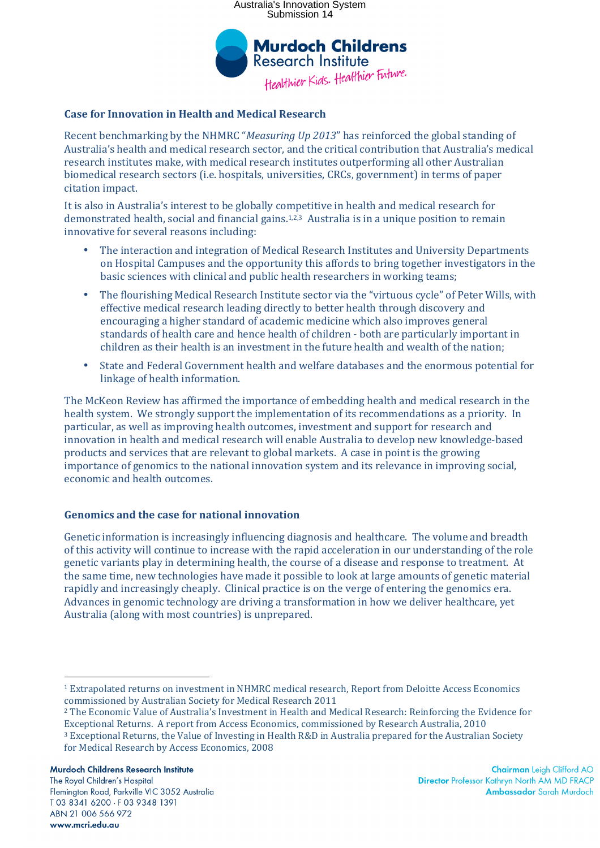

## **Case for Innovation in Health and Medical Research**

Recent benchmarking by the NHMRC "*Measuring Up 2013*" has reinforced the global standing of Australia's health and medical research sector, and the critical contribution that Australia's medical research institutes make, with medical research institutes outperforming all other Australian biomedical research sectors (i.e. hospitals, universities, CRCs, government) in terms of paper citation impact.

It is also in Australia's interest to be globally competitive in health and medical research for demonstrated health, social and financial gains.1,2,3 Australia is in a unique position to remain innovative for several reasons including:

- The interaction and integration of Medical Research Institutes and University Departments on Hospital Campuses and the opportunity this affords to bring together investigators in the basic sciences with clinical and public health researchers in working teams;
- The flourishing Medical Research Institute sector via the "virtuous cycle" of Peter Wills, with effective medical research leading directly to better health through discovery and encouraging a higher standard of academic medicine which also improves general standards of health care and hence health of children - both are particularly important in children as their health is an investment in the future health and wealth of the nation;
- State and Federal Government health and welfare databases and the enormous potential for linkage of health information.

The McKeon Review has affirmed the importance of embedding health and medical research in the health system. We strongly support the implementation of its recommendations as a priority. In particular, as well as improving health outcomes, investment and support for research and innovation in health and medical research will enable Australia to develop new knowledge-based products and services that are relevant to global markets. A case in point is the growing importance of genomics to the national innovation system and its relevance in improving social, economic and health outcomes.

## **Genomics and the case for national innovation**

Genetic information is increasingly influencing diagnosis and healthcare. The volume and breadth of this activity will continue to increase with the rapid acceleration in our understanding of the role genetic variants play in determining health, the course of a disease and response to treatment. At the same time, new technologies have made it possible to look at large amounts of genetic material rapidly and increasingly cheaply. Clinical practice is on the verge of entering the genomics era. Advances in genomic technology are driving a transformation in how we deliver healthcare, yet Australia (along with most countries) is unprepared.

Murdoch Childrens Research Institute

The Roval Children's Hospital Flemington Road, Parkville VIC 3052 Australia T03 8341 6200 · F03 9348 1391 ABN 21 006 566 972 www.mcri.edu.au

 $\overline{a}$ <sup>1</sup> Extrapolated returns on investment in NHMRC medical research, Report from Deloitte Access Economics commissioned by Australian Society for Medical Research 2011

<sup>2</sup> The Economic Value of Australia's Investment in Health and Medical Research: Reinforcing the Evidence for Exceptional Returns. A report from Access Economics, commissioned by Research Australia, 2010

<sup>3</sup> Exceptional Returns, the Value of Investing in Health R&D in Australia prepared for the Australian Society for Medical Research by Access Economics, 2008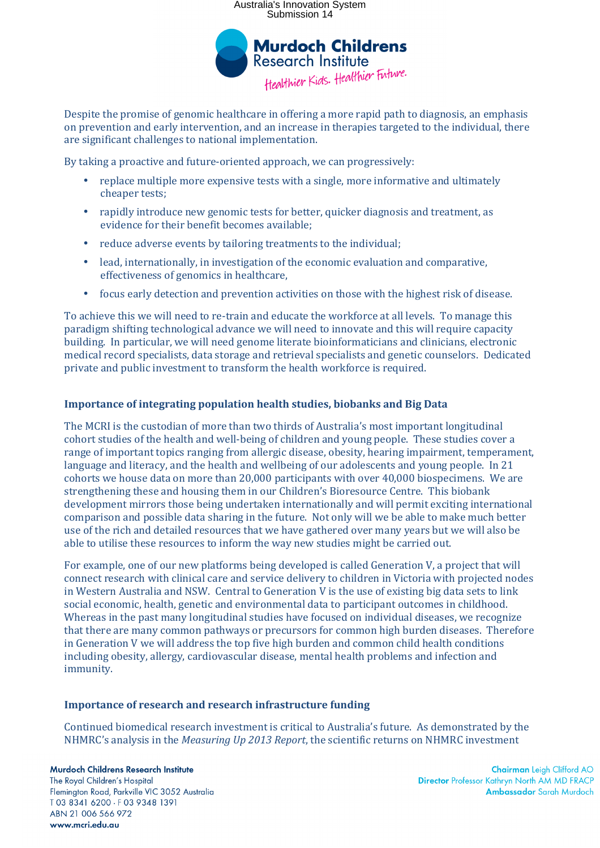

Despite the promise of genomic healthcare in offering a more rapid path to diagnosis, an emphasis on prevention and early intervention, and an increase in therapies targeted to the individual, there are significant challenges to national implementation.

By taking a proactive and future-oriented approach, we can progressively:

- replace multiple more expensive tests with a single, more informative and ultimately cheaper tests;
- rapidly introduce new genomic tests for better, quicker diagnosis and treatment, as evidence for their benefit becomes available;
- reduce adverse events by tailoring treatments to the individual;
- lead, internationally, in investigation of the economic evaluation and comparative, effectiveness of genomics in healthcare,
- focus early detection and prevention activities on those with the highest risk of disease.

To achieve this we will need to re-train and educate the workforce at all levels. To manage this paradigm shifting technological advance we will need to innovate and this will require capacity building. In particular, we will need genome literate bioinformaticians and clinicians, electronic medical record specialists, data storage and retrieval specialists and genetic counselors. Dedicated private and public investment to transform the health workforce is required.

## **Importance of integrating population health studies, biobanks and Big Data**

The MCRI is the custodian of more than two thirds of Australia's most important longitudinal cohort studies of the health and well-being of children and young people. These studies cover a range of important topics ranging from allergic disease, obesity, hearing impairment, temperament, language and literacy, and the health and wellbeing of our adolescents and young people. In 21 cohorts we house data on more than 20,000 participants with over 40,000 biospecimens. We are strengthening these and housing them in our Children's Bioresource Centre. This biobank development mirrors those being undertaken internationally and will permit exciting international comparison and possible data sharing in the future. Not only will we be able to make much better use of the rich and detailed resources that we have gathered over many years but we will also be able to utilise these resources to inform the way new studies might be carried out.

For example, one of our new platforms being developed is called Generation V, a project that will connect research with clinical care and service delivery to children in Victoria with projected nodes in Western Australia and NSW. Central to Generation V is the use of existing big data sets to link social economic, health, genetic and environmental data to participant outcomes in childhood. Whereas in the past many longitudinal studies have focused on individual diseases, we recognize that there are many common pathways or precursors for common high burden diseases. Therefore in Generation V we will address the top five high burden and common child health conditions including obesity, allergy, cardiovascular disease, mental health problems and infection and immunity.

#### **Importance of research and research infrastructure funding**

Continued biomedical research investment is critical to Australia's future. As demonstrated by the NHMRC's analysis in the *Measuring Up 2013 Report*, the scientific returns on NHMRC investment

Murdoch Childrens Research Institute The Roval Children's Hospital Flemington Road, Parkville VIC 3052 Australia T03 8341 6200 · F03 9348 1391 ABN 21 006 566 972 www.mcri.edu.au

**Chairman** Leigh Clifford AO **Director Professor Kathryn North AM MD FRACP Ambassador** Sarah Murdoch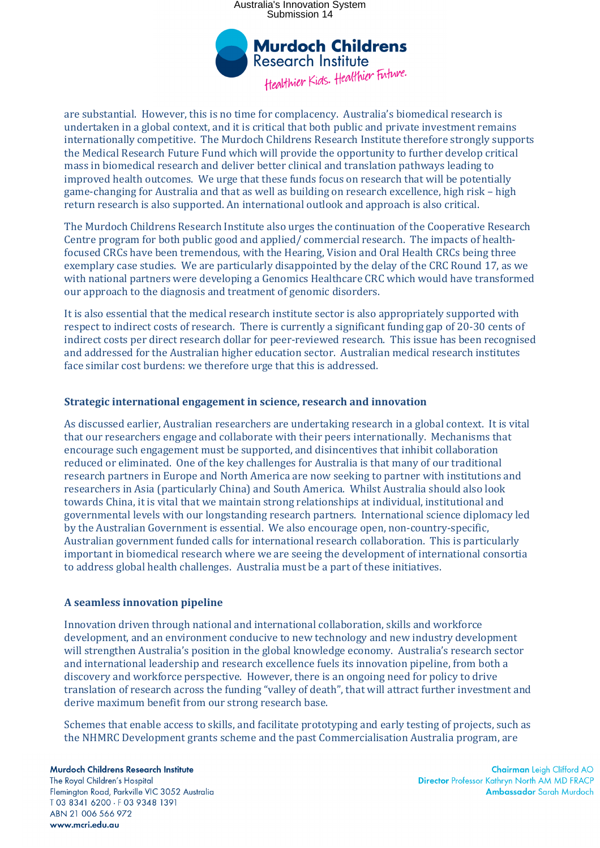

are substantial. However, this is no time for complacency. Australia's biomedical research is undertaken in a global context, and it is critical that both public and private investment remains internationally competitive. The Murdoch Childrens Research Institute therefore strongly supports the Medical Research Future Fund which will provide the opportunity to further develop critical mass in biomedical research and deliver better clinical and translation pathways leading to improved health outcomes. We urge that these funds focus on research that will be potentially game-changing for Australia and that as well as building on research excellence, high risk – high return research is also supported. An international outlook and approach is also critical.

The Murdoch Childrens Research Institute also urges the continuation of the Cooperative Research Centre program for both public good and applied/ commercial research. The impacts of healthfocused CRCs have been tremendous, with the Hearing, Vision and Oral Health CRCs being three exemplary case studies. We are particularly disappointed by the delay of the CRC Round 17, as we with national partners were developing a Genomics Healthcare CRC which would have transformed our approach to the diagnosis and treatment of genomic disorders.

It is also essential that the medical research institute sector is also appropriately supported with respect to indirect costs of research. There is currently a significant funding gap of 20-30 cents of indirect costs per direct research dollar for peer-reviewed research. This issue has been recognised and addressed for the Australian higher education sector. Australian medical research institutes face similar cost burdens: we therefore urge that this is addressed.

### **Strategic international engagement in science, research and innovation**

As discussed earlier, Australian researchers are undertaking research in a global context. It is vital that our researchers engage and collaborate with their peers internationally. Mechanisms that encourage such engagement must be supported, and disincentives that inhibit collaboration reduced or eliminated. One of the key challenges for Australia is that many of our traditional research partners in Europe and North America are now seeking to partner with institutions and researchers in Asia (particularly China) and South America. Whilst Australia should also look towards China, it is vital that we maintain strong relationships at individual, institutional and governmental levels with our longstanding research partners. International science diplomacy led by the Australian Government is essential. We also encourage open, non-country-specific, Australian government funded calls for international research collaboration. This is particularly important in biomedical research where we are seeing the development of international consortia to address global health challenges. Australia must be a part of these initiatives.

#### **A seamless innovation pipeline**

Innovation driven through national and international collaboration, skills and workforce development, and an environment conducive to new technology and new industry development will strengthen Australia's position in the global knowledge economy. Australia's research sector and international leadership and research excellence fuels its innovation pipeline, from both a discovery and workforce perspective. However, there is an ongoing need for policy to drive translation of research across the funding "valley of death", that will attract further investment and derive maximum benefit from our strong research base.

Schemes that enable access to skills, and facilitate prototyping and early testing of projects, such as the NHMRC Development grants scheme and the past Commercialisation Australia program, are

Murdoch Childrens Research Institute The Roval Children's Hospital Flemington Road, Parkville VIC 3052 Australia T03 8341 6200 · F03 9348 1391 ABN 21 006 566 972 www.mcri.edu.au

Chairman Leigh Clifford AO **Director Professor Kathryn North AM MD FRACP** Ambassador Sarah Murdoch